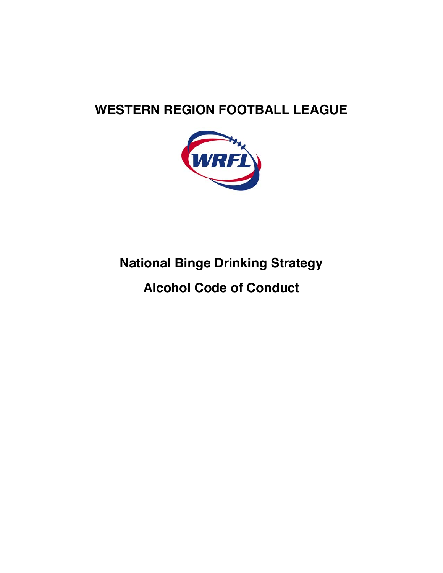# **WESTERN REGION FOOTBALL LEAGUE**



# **National Binge Drinking Strategy**

# **Alcohol Code of Conduct**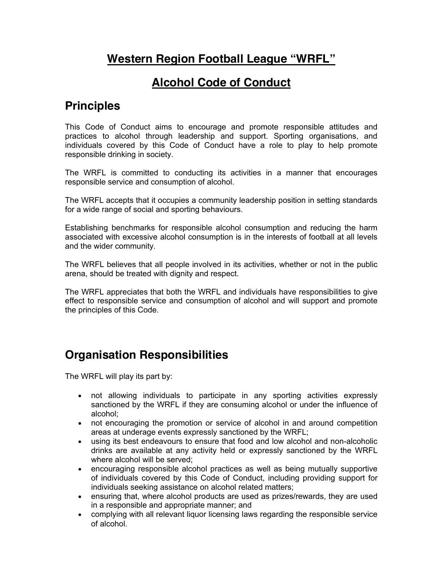## **Western Region Football League "WRFL"**

### **Alcohol Code of Conduct**

#### **Principles**

This Code of Conduct aims to encourage and promote responsible attitudes and practices to alcohol through leadership and support. Sporting organisations, and individuals covered by this Code of Conduct have a role to play to help promote responsible drinking in society.

The WRFL is committed to conducting its activities in a manner that encourages responsible service and consumption of alcohol.

The WRFL accepts that it occupies a community leadership position in setting standards for a wide range of social and sporting behaviours.

Establishing benchmarks for responsible alcohol consumption and reducing the harm associated with excessive alcohol consumption is in the interests of football at all levels and the wider community.

The WRFL believes that all people involved in its activities, whether or not in the public arena, should be treated with dignity and respect.

The WRFL appreciates that both the WRFL and individuals have responsibilities to give effect to responsible service and consumption of alcohol and will support and promote the principles of this Code.

## **Organisation Responsibilities**

The WRFL will play its part by:

- not allowing individuals to participate in any sporting activities expressly sanctioned by the WRFL if they are consuming alcohol or under the influence of alcohol;
- not encouraging the promotion or service of alcohol in and around competition areas at underage events expressly sanctioned by the WRFL;
- using its best endeavours to ensure that food and low alcohol and non-alcoholic drinks are available at any activity held or expressly sanctioned by the WRFL where alcohol will be served;
- encouraging responsible alcohol practices as well as being mutually supportive of individuals covered by this Code of Conduct, including providing support for individuals seeking assistance on alcohol related matters;
- ensuring that, where alcohol products are used as prizes/rewards, they are used in a responsible and appropriate manner; and
- complying with all relevant liquor licensing laws regarding the responsible service of alcohol.